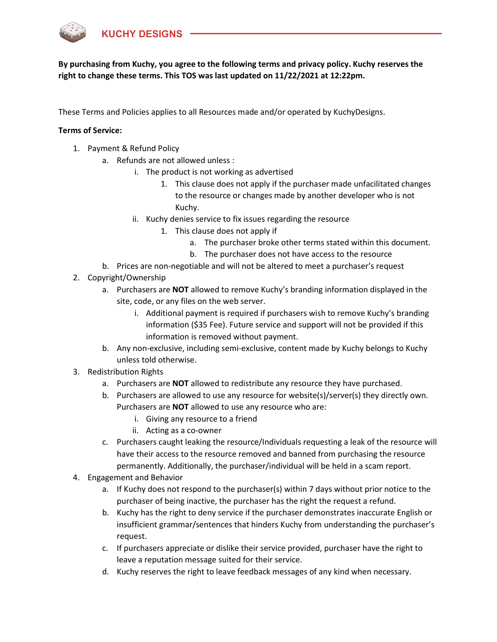

These Terms and Policies applies to all Resources made and/or operated by KuchyDesigns.

## Terms of Service:

- 1. Payment & Refund Policy
	- a. Refunds are not allowed unless :
		- i. The product is not working as advertised
			- 1. This clause does not apply if the purchaser made unfacilitated changes to the resource or changes made by another developer who is not Kuchy.
		- ii. Kuchy denies service to fix issues regarding the resource
			- 1. This clause does not apply if
				- a. The purchaser broke other terms stated within this document.
				- b. The purchaser does not have access to the resource
	- b. Prices are non-negotiable and will not be altered to meet a purchaser's request
- 2. Copyright/Ownership
	- a. Purchasers are NOT allowed to remove Kuchy's branding information displayed in the site, code, or any files on the web server.
		- i. Additional payment is required if purchasers wish to remove Kuchy's branding information (\$35 Fee). Future service and support will not be provided if this information is removed without payment.
	- b. Any non-exclusive, including semi-exclusive, content made by Kuchy belongs to Kuchy unless told otherwise.
- 3. Redistribution Rights
	- a. Purchasers are **NOT** allowed to redistribute any resource they have purchased.
	- b. Purchasers are allowed to use any resource for website(s)/server(s) they directly own. Purchasers are NOT allowed to use any resource who are:
		- i. Giving any resource to a friend
		- ii. Acting as a co-owner
	- c. Purchasers caught leaking the resource/Individuals requesting a leak of the resource will have their access to the resource removed and banned from purchasing the resource permanently. Additionally, the purchaser/individual will be held in a scam report.
- 4. Engagement and Behavior
	- a. If Kuchy does not respond to the purchaser(s) within 7 days without prior notice to the purchaser of being inactive, the purchaser has the right the request a refund.
	- b. Kuchy has the right to deny service if the purchaser demonstrates inaccurate English or insufficient grammar/sentences that hinders Kuchy from understanding the purchaser's request.
	- c. If purchasers appreciate or dislike their service provided, purchaser have the right to leave a reputation message suited for their service.
	- d. Kuchy reserves the right to leave feedback messages of any kind when necessary.